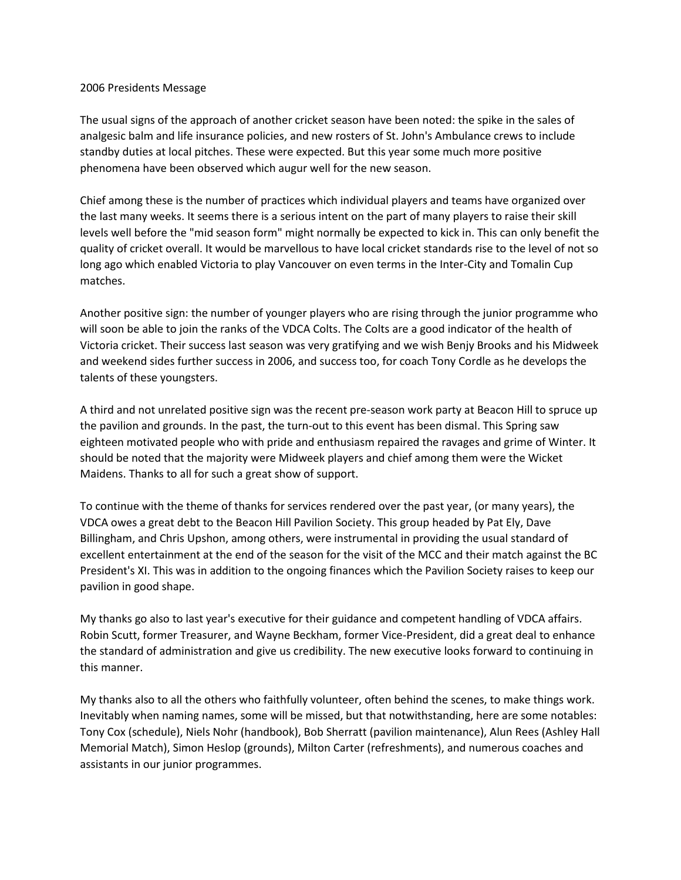## 2006 Presidents Message

The usual signs of the approach of another cricket season have been noted: the spike in the sales of analgesic balm and life insurance policies, and new rosters of St. John's Ambulance crews to include standby duties at local pitches. These were expected. But this year some much more positive phenomena have been observed which augur well for the new season.

Chief among these is the number of practices which individual players and teams have organized over the last many weeks. It seems there is a serious intent on the part of many players to raise their skill levels well before the "mid season form" might normally be expected to kick in. This can only benefit the quality of cricket overall. It would be marvellous to have local cricket standards rise to the level of not so long ago which enabled Victoria to play Vancouver on even terms in the Inter-City and Tomalin Cup matches.

Another positive sign: the number of younger players who are rising through the junior programme who will soon be able to join the ranks of the VDCA Colts. The Colts are a good indicator of the health of Victoria cricket. Their success last season was very gratifying and we wish Benjy Brooks and his Midweek and weekend sides further success in 2006, and success too, for coach Tony Cordle as he develops the talents of these youngsters.

A third and not unrelated positive sign was the recent pre-season work party at Beacon Hill to spruce up the pavilion and grounds. In the past, the turn-out to this event has been dismal. This Spring saw eighteen motivated people who with pride and enthusiasm repaired the ravages and grime of Winter. It should be noted that the majority were Midweek players and chief among them were the Wicket Maidens. Thanks to all for such a great show of support.

To continue with the theme of thanks for services rendered over the past year, (or many years), the VDCA owes a great debt to the Beacon Hill Pavilion Society. This group headed by Pat Ely, Dave Billingham, and Chris Upshon, among others, were instrumental in providing the usual standard of excellent entertainment at the end of the season for the visit of the MCC and their match against the BC President's XI. This was in addition to the ongoing finances which the Pavilion Society raises to keep our pavilion in good shape.

My thanks go also to last year's executive for their guidance and competent handling of VDCA affairs. Robin Scutt, former Treasurer, and Wayne Beckham, former Vice-President, did a great deal to enhance the standard of administration and give us credibility. The new executive looks forward to continuing in this manner.

My thanks also to all the others who faithfully volunteer, often behind the scenes, to make things work. Inevitably when naming names, some will be missed, but that notwithstanding, here are some notables: Tony Cox (schedule), Niels Nohr (handbook), Bob Sherratt (pavilion maintenance), Alun Rees (Ashley Hall Memorial Match), Simon Heslop (grounds), Milton Carter (refreshments), and numerous coaches and assistants in our junior programmes.